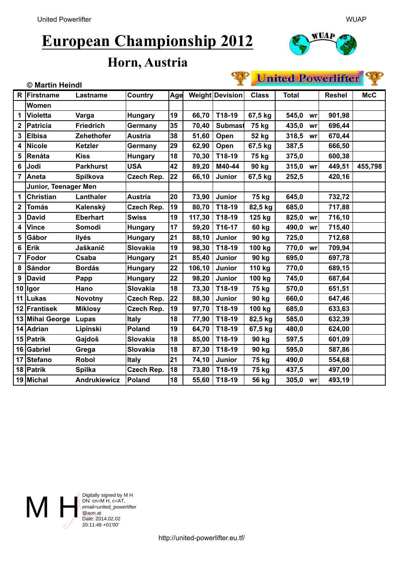# **European Championship 2012**



#### **Horn, Austria**

### United Powerlifter

| 츠<br>© Martin Heindl |                      |                     |                   |     |        |                 |              | <u>The second state that the state</u><br>基 |    |               |            |
|----------------------|----------------------|---------------------|-------------------|-----|--------|-----------------|--------------|---------------------------------------------|----|---------------|------------|
| R                    | Firstname            | Lastname            | Country           | Age |        | Weight Devision | <b>Class</b> | <b>Total</b>                                |    | <b>Reshel</b> | <b>McC</b> |
|                      | Women                |                     |                   |     |        |                 |              |                                             |    |               |            |
| 1                    | <b>Violetta</b>      | Varga               | <b>Hungary</b>    | 19  | 66,70  | T18-19          | 67,5 kg      | 545,0                                       | wr | 901,98        |            |
| 2                    | <b>Patricia</b>      | <b>Friedrich</b>    | Germany           | 35  | 70,40  | <b>Submast</b>  | 75 kg        | 435,0                                       | wr | 696,44        |            |
| 3                    | <b>Elbisa</b>        | Zehethofer          | <b>Austria</b>    | 38  | 51,60  | Open            | 52 kg        | 318,5                                       | wr | 670,44        |            |
| 4                    | <b>Nicole</b>        | <b>Ketzler</b>      | Germany           | 29  | 62,90  | Open            | 67,5 kg      | 387,5                                       |    | 666,50        |            |
| 5                    | Renáta               | <b>Kiss</b>         | <b>Hungary</b>    | 18  | 70,30  | T18-19          | 75 kg        | 375,0                                       |    | 600,38        |            |
| 6                    | Jodi                 | <b>Parkhurst</b>    | <b>USA</b>        | 42  | 89,20  | M40-44          | 90 kg        | 315,0                                       | wr | 449,51        | 455,798    |
| 7                    | Aneta                | <b>Spilkova</b>     | <b>Czech Rep.</b> | 22  | 66,10  | <b>Junior</b>   | 67,5 kg      | 252,5                                       |    | 420,16        |            |
|                      | Junior, Teenager Men |                     |                   |     |        |                 |              |                                             |    |               |            |
| 1                    | <b>Christian</b>     | Lanthaler           | <b>Austria</b>    | 20  | 73,90  | Junior          | 75 kg        | 645,0                                       |    | 732,72        |            |
| 2                    | <b>Tomás</b>         | Kalenský            | <b>Czech Rep.</b> | 19  | 80,70  | T18-19          | 82,5 kg      | 685,0                                       |    | 717,88        |            |
| 3                    | <b>David</b>         | <b>Eberhart</b>     | <b>Swiss</b>      | 19  | 117,30 | T18-19          | 125 kg       | 825,0                                       | wr | 716,10        |            |
| 4                    | <b>Vince</b>         | Somodi              | <b>Hungary</b>    | 17  | 59,20  | T16-17          | 60 kg        | 490,0                                       | wr | 715,40        |            |
| 5                    | Gábor                | <b>Ilyés</b>        | <b>Hungary</b>    | 21  | 88,10  | Junior          | 90 kg        | 725,0                                       |    | 712,68        |            |
| 6                    | Erik                 | Jaškanič            | Slovakia          | 19  | 98,30  | T18-19          | 100 kg       | 770,0                                       | wr | 709,94        |            |
| 7                    | Fodor                | Csaba               | <b>Hungary</b>    | 21  | 85,40  | Junior          | 90 kg        | 695,0                                       |    | 697,78        |            |
| 8                    | <b>Sándor</b>        | <b>Bordás</b>       | <b>Hungary</b>    | 22  | 106,10 | Junior          | 110 kg       | 770,0                                       |    | 689,15        |            |
| 9                    | <b>David</b>         | Papp                | <b>Hungary</b>    | 22  | 98,20  | Junior          | 100 kg       | 745,0                                       |    | 687,64        |            |
|                      | 10 lgor              | Hano                | <b>Slovakia</b>   | 18  | 73,30  | T18-19          | 75 kg        | 570,0                                       |    | 651,51        |            |
| 11                   | Lukas                | <b>Novotny</b>      | Czech Rep.        | 22  | 88,30  | Junior          | 90 kg        | 660,0                                       |    | 647,46        |            |
|                      | 12 Frantisek         | <b>Miklosy</b>      | <b>Czech Rep.</b> | 19  | 97,70  | T18-19          | 100 kg       | 685,0                                       |    | 633,63        |            |
| 13                   | Mihai George         | Lupas               | <b>Italy</b>      | 18  | 77,90  | T18-19          | 82,5 kg      | 585,0                                       |    | 632,39        |            |
|                      | 14 Adrian            | Lipinski            | Poland            | 19  | 64,70  | T18-19          | 67,5 kg      | 480,0                                       |    | 624,00        |            |
|                      | 15 Patrik            | Gajdoš              | Slovakia          | 18  | 85,00  | T18-19          | 90 kg        | 597,5                                       |    | 601,09        |            |
| 16                   | Gabriel              | Grega               | Slovakia          | 18  | 87,30  | T18-19          | 90 kg        | 595,0                                       |    | 587,86        |            |
| 17                   | <b>Stefano</b>       | <b>Robol</b>        | <b>Italy</b>      | 21  | 74,10  | Junior          | 75 kg        | 490,0                                       |    | 554,68        |            |
|                      | 18 Patrik            | <b>Spilka</b>       | <b>Czech Rep.</b> | 18  | 73,80  | T18-19          | 75 kg        | 437,5                                       |    | 497,00        |            |
|                      | 19 Michal            | <b>Andrukiewicz</b> | Poland            | 18  | 55,60  | T18-19          | 56 kg        | 305,0                                       | wr | 493,19        |            |



SIAS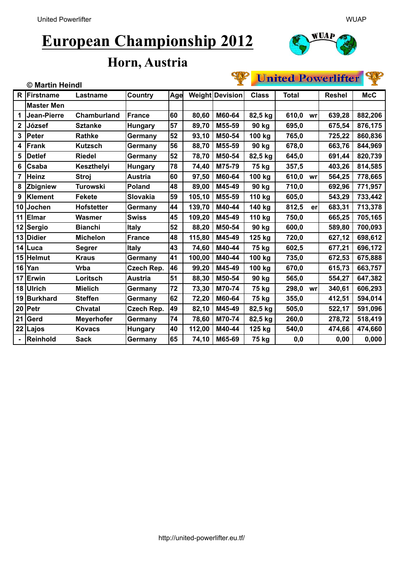## **European Championship 2012**



#### **Horn, Austria**

## United Powerlifter

| x<br>© Martin Heindl |                   |                   |                 |     |        |                        |              | CHRIST TO TILITION<br>ж |    |               |            |  |
|----------------------|-------------------|-------------------|-----------------|-----|--------|------------------------|--------------|-------------------------|----|---------------|------------|--|
| R                    | Firstname         | Lastname          | Country         | Age |        | <b>Weight Devision</b> | <b>Class</b> | <b>Total</b>            |    | <b>Reshel</b> | <b>McC</b> |  |
|                      | <b>Master Men</b> |                   |                 |     |        |                        |              |                         |    |               |            |  |
| 1                    | Jean-Pierre       | Chamburland       | <b>France</b>   | 60  | 80,60  | M60-64                 | 82,5 kg      | 610,0                   | wr | 639,28        | 882,206    |  |
| $\mathbf 2$          | József            | <b>Sztanke</b>    | <b>Hungary</b>  | 57  | 89,70  | M55-59                 | 90 kg        | 695,0                   |    | 675,54        | 876,175    |  |
| 3                    | Peter             | <b>Rathke</b>     | Germany         | 52  | 93,10  | M50-54                 | 100 kg       | 765,0                   |    | 725,22        | 860,836    |  |
| 4                    | Frank             | Kutzsch           | Germany         | 56  | 88,70  | M55-59                 | 90 kg        | 678,0                   |    | 663,76        | 844,969    |  |
| 5                    | <b>Detlef</b>     | <b>Riedel</b>     | Germany         | 52  | 78,70  | M50-54                 | 82,5 kg      | 645,0                   |    | 691,44        | 820,739    |  |
| 6                    | Csaba             | Keszthelyi        | <b>Hungary</b>  | 78  | 74,40  | M75-79                 | 75 kg        | 357,5                   |    | 403,26        | 814,585    |  |
| 7                    | Heinz             | <b>Stroj</b>      | <b>Austria</b>  | 60  | 97,50  | M60-64                 | 100 kg       | 610,0                   | wr | 564,25        | 778,665    |  |
| 8                    | Zbigniew          | <b>Turowski</b>   | Poland          | 48  | 89,00  | M45-49                 | 90 kg        | 710,0                   |    | 692,96        | 771,957    |  |
| 9                    | Klement           | <b>Fekete</b>     | <b>Slovakia</b> | 59  | 105,10 | M55-59                 | 110 kg       | 605,0                   |    | 543,29        | 733,442    |  |
| 10                   | Jochen            | <b>Hofstetter</b> | Germany         | 44  | 139,70 | M40-44                 | 140 kg       | 812,5                   | er | 683,31        | 713,378    |  |
| 11                   | <b>Elmar</b>      | Wasmer            | <b>Swiss</b>    | 45  | 109,20 | M45-49                 | 110 kg       | 750,0                   |    | 665,25        | 705,165    |  |
|                      | 12 Sergio         | <b>Bianchi</b>    | <b>Italy</b>    | 52  | 88,20  | M50-54                 | 90 kg        | 600,0                   |    | 589,80        | 700,093    |  |
| 13                   | Didier            | <b>Michelon</b>   | <b>France</b>   | 48  | 115,80 | M45-49                 | 125 kg       | 720,0                   |    | 627,12        | 698,612    |  |
|                      | 14 Luca           | Segrer            | <b>Italy</b>    | 43  | 74,60  | M40-44                 | 75 kg        | 602,5                   |    | 677,21        | 696,172    |  |
|                      | 15 Helmut         | <b>Kraus</b>      | Germany         | 41  | 100,00 | M40-44                 | 100 kg       | 735,0                   |    | 672,53        | 675,888    |  |
| 16                   | Yan               | <b>Vrba</b>       | Czech Rep.      | 46  | 99,20  | M45-49                 | 100 kg       | 670,0                   |    | 615,73        | 663,757    |  |
| 17                   | Erwin             | Loritsch          | <b>Austria</b>  | 51  | 88,30  | M50-54                 | 90 kg        | 565,0                   |    | 554,27        | 647,382    |  |
|                      | 18 Ulrich         | <b>Mielich</b>    | Germany         | 72  | 73,30  | M70-74                 | 75 kg        | 298,0                   | wr | 340,61        | 606,293    |  |
| 19                   | Burkhard          | <b>Steffen</b>    | Germany         | 62  | 72,20  | M60-64                 | 75 kg        | 355,0                   |    | 412,51        | 594,014    |  |
| 20                   | Petr              | <b>Chvatal</b>    | Czech Rep.      | 49  | 82,10  | M45-49                 | 82,5 kg      | 505,0                   |    | 522,17        | 591,096    |  |
| 21                   | Gerd              | <b>Meyerhofer</b> | Germany         | 74  | 78,60  | M70-74                 | 82,5 kg      | 260,0                   |    | 278,72        | 518,419    |  |
|                      | 22 Lajos          | <b>Kovacs</b>     | <b>Hungary</b>  | 40  | 112,00 | M40-44                 | 125 kg       | 540,0                   |    | 474,66        | 474,660    |  |
|                      | Reinhold          | <b>Sack</b>       | Germany         | 65  | 74,10  | M65-69                 | 75 kg        | 0,0                     |    | 0,00          | 0,000      |  |